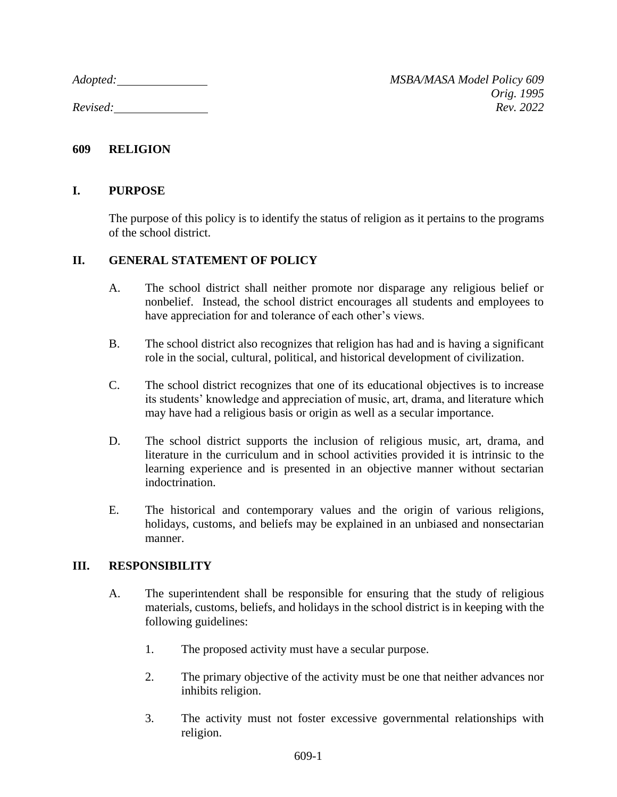## **609 RELIGION**

## **I. PURPOSE**

The purpose of this policy is to identify the status of religion as it pertains to the programs of the school district.

## **II. GENERAL STATEMENT OF POLICY**

- A. The school district shall neither promote nor disparage any religious belief or nonbelief. Instead, the school district encourages all students and employees to have appreciation for and tolerance of each other's views.
- B. The school district also recognizes that religion has had and is having a significant role in the social, cultural, political, and historical development of civilization.
- C. The school district recognizes that one of its educational objectives is to increase its students' knowledge and appreciation of music, art, drama, and literature which may have had a religious basis or origin as well as a secular importance.
- D. The school district supports the inclusion of religious music, art, drama, and literature in the curriculum and in school activities provided it is intrinsic to the learning experience and is presented in an objective manner without sectarian indoctrination.
- E. The historical and contemporary values and the origin of various religions, holidays, customs, and beliefs may be explained in an unbiased and nonsectarian manner.

## **III. RESPONSIBILITY**

- A. The superintendent shall be responsible for ensuring that the study of religious materials, customs, beliefs, and holidays in the school district is in keeping with the following guidelines:
	- 1. The proposed activity must have a secular purpose.
	- 2. The primary objective of the activity must be one that neither advances nor inhibits religion.
	- 3. The activity must not foster excessive governmental relationships with religion.